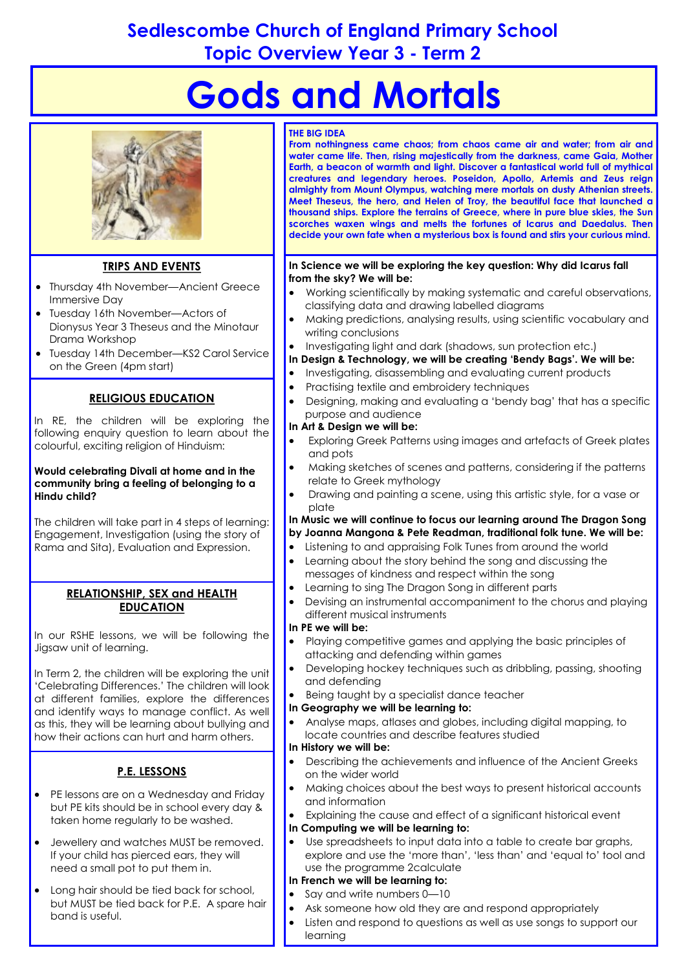# **Sedlescombe Church of England Primary School Topic Overview Year 3 - Term 2**

# **Gods and Mortals**



# **TRIPS AND EVENTS**

- Thursday 4th November—Ancient Greece Immersive Day
- Tuesday 16th November—Actors of Dionysus Year 3 Theseus and the Minotaur Drama Workshop
- Tuesday 14th December—KS2 Carol Service on the Green (4pm start)

# **RELIGIOUS EDUCATION**

In RE, the children will be exploring the following enquiry question to learn about the colourful, exciting religion of Hinduism:

#### **Would celebrating Divali at home and in the community bring a feeling of belonging to a Hindu child?**

The children will take part in 4 steps of learning: Engagement, Investigation (using the story of Rama and Sita), Evaluation and Expression.

#### **RELATIONSHIP, SEX and HEALTH EDUCATION**

In our RSHE lessons, we will be following the Jigsaw unit of learning.

In Term 2, the children will be exploring the unit 'Celebrating Differences.' The children will look at different families, explore the differences and identify ways to manage conflict. As well as this, they will be learning about bullying and how their actions can hurt and harm others.

# **P.E. LESSONS**

- PE lessons are on a Wednesday and Friday but PE kits should be in school every day & taken home regularly to be washed.
- Jewellery and watches MUST be removed. If your child has pierced ears, they will need a small pot to put them in.
- Long hair should be tied back for school, but MUST be tied back for P.E. A spare hair band is useful.

#### **THE BIG IDEA**

**From nothingness came chaos; from chaos came air and water; from air and water came life. Then, rising majestically from the darkness, came Gaia, Mother Earth, a beacon of warmth and light. Discover a fantastical world full of mythical creatures and legendary heroes. Poseidon, Apollo, Artemis and Zeus reign almighty from Mount Olympus, watching mere mortals on dusty Athenian streets. Meet Theseus, the hero, and Helen of Troy, the beautiful face that launched a thousand ships. Explore the terrains of Greece, where in pure blue skies, the Sun scorches waxen wings and melts the fortunes of Icarus and Daedalus. Then decide your own fate when a mysterious box is found and stirs your curious mind.** 

#### **In Science we will be exploring the key question: Why did Icarus fall from the sky? We will be:**

- Working scientifically by making systematic and careful observations, classifying data and drawing labelled diagrams
- Making predictions, analysing results, using scientific vocabulary and writing conclusions
- Investigating light and dark (shadows, sun protection etc.)
- **In Design & Technology, we will be creating 'Bendy Bags'. We will be:**
- Investigating, disassembling and evaluating current products
- Practising textile and embroidery techniques
- Designing, making and evaluating a 'bendy bag' that has a specific purpose and audience
- **In Art & Design we will be:**
- Exploring Greek Patterns using images and artefacts of Greek plates and pots
- Making sketches of scenes and patterns, considering if the patterns relate to Greek mythology
- Drawing and painting a scene, using this artistic style, for a vase or plate

#### **In Music we will continue to focus our learning around The Dragon Song by Joanna Mangona & Pete Readman, traditional folk tune. We will be:**

- Listening to and appraising Folk Tunes from around the world
- Learning about the story behind the song and discussing the messages of kindness and respect within the song
- Learning to sing The Dragon Song in different parts
- Devising an instrumental accompaniment to the chorus and playing different musical instruments

#### **In PE we will be:**

- Playing competitive games and applying the basic principles of attacking and defending within games
- Developing hockey techniques such as dribbling, passing, shooting and defending
- Being taught by a specialist dance teacher

#### **In Geography we will be learning to:**

 Analyse maps, atlases and globes, including digital mapping, to locate countries and describe features studied

#### **In History we will be:**

- Describing the achievements and influence of the Ancient Greeks on the wider world
- Making choices about the best ways to present historical accounts and information
- Explaining the cause and effect of a significant historical event **In Computing we will be learning to:**
- Use spreadsheets to input data into a table to create bar graphs, explore and use the 'more than', 'less than' and 'equal to' tool and use the programme 2calculate

#### **In French we will be learning to:**

- Say and write numbers 0—10
- Ask someone how old they are and respond appropriately
- Listen and respond to questions as well as use songs to support our learning